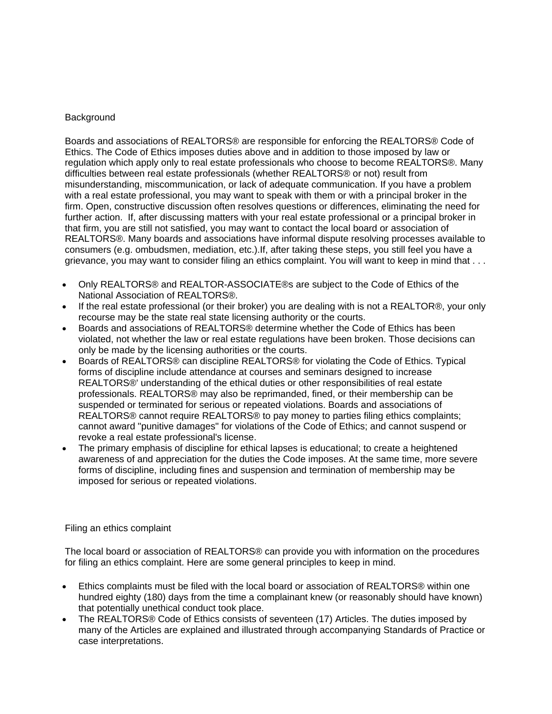#### **Background**

Boards and associations of REALTORS® are responsible for enforcing the REALTORS® Code of Ethics. The Code of Ethics imposes duties above and in addition to those imposed by law or regulation which apply only to real estate professionals who choose to become REALTORS®. Many difficulties between real estate professionals (whether REALTORS® or not) result from misunderstanding, miscommunication, or lack of adequate communication. If you have a problem with a real estate professional, you may want to speak with them or with a principal broker in the firm. Open, constructive discussion often resolves questions or differences, eliminating the need for further action. If, after discussing matters with your real estate professional or a principal broker in that firm, you are still not satisfied, you may want to contact the local board or association of REALTORS®. Many boards and associations have informal dispute resolving processes available to consumers (e.g. ombudsmen, mediation, etc.).If, after taking these steps, you still feel you have a grievance, you may want to consider filing an ethics complaint. You will want to keep in mind that . . .

- Only REALTORS® and REALTOR-ASSOCIATE®s are subject to the Code of Ethics of the National Association of REALTORS®.
- If the real estate professional (or their broker) you are dealing with is not a REALTOR®, your only recourse may be the state real state licensing authority or the courts.
- Boards and associations of REALTORS® determine whether the Code of Ethics has been violated, not whether the law or real estate regulations have been broken. Those decisions can only be made by the licensing authorities or the courts.
- Boards of REALTORS® can discipline REALTORS® for violating the Code of Ethics. Typical forms of discipline include attendance at courses and seminars designed to increase REALTORS®' understanding of the ethical duties or other responsibilities of real estate professionals. REALTORS® may also be reprimanded, fined, or their membership can be suspended or terminated for serious or repeated violations. Boards and associations of REALTORS® cannot require REALTORS® to pay money to parties filing ethics complaints; cannot award "punitive damages" for violations of the Code of Ethics; and cannot suspend or revoke a real estate professional's license.
- The primary emphasis of discipline for ethical lapses is educational; to create a heightened awareness of and appreciation for the duties the Code imposes. At the same time, more severe forms of discipline, including fines and suspension and termination of membership may be imposed for serious or repeated violations.

#### Filing an ethics complaint

The local board or association of REALTORS® can provide you with information on the procedures for filing an ethics complaint. Here are some general principles to keep in mind.

- Ethics complaints must be filed with the local board or association of REALTORS® within one hundred eighty (180) days from the time a complainant knew (or reasonably should have known) that potentially unethical conduct took place.
- The REALTORS® Code of Ethics consists of seventeen (17) Articles. The duties imposed by many of the Articles are explained and illustrated through accompanying Standards of Practice or case interpretations.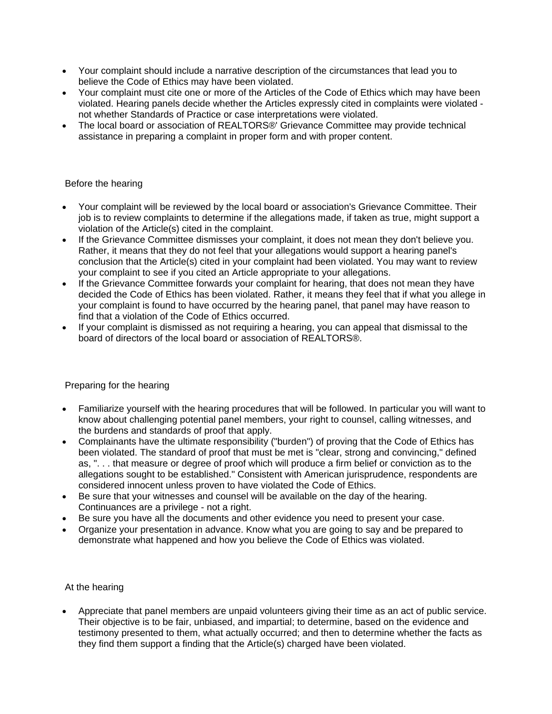- Your complaint should include a narrative description of the circumstances that lead you to believe the Code of Ethics may have been violated.
- Your complaint must cite one or more of the Articles of the Code of Ethics which may have been violated. Hearing panels decide whether the Articles expressly cited in complaints were violated not whether Standards of Practice or case interpretations were violated.
- The local board or association of REALTORS®' Grievance Committee may provide technical assistance in preparing a complaint in proper form and with proper content.

## Before the hearing

- Your complaint will be reviewed by the local board or association's Grievance Committee. Their job is to review complaints to determine if the allegations made, if taken as true, might support a violation of the Article(s) cited in the complaint.
- If the Grievance Committee dismisses your complaint, it does not mean they don't believe you. Rather, it means that they do not feel that your allegations would support a hearing panel's conclusion that the Article(s) cited in your complaint had been violated. You may want to review your complaint to see if you cited an Article appropriate to your allegations.
- If the Grievance Committee forwards your complaint for hearing, that does not mean they have decided the Code of Ethics has been violated. Rather, it means they feel that if what you allege in your complaint is found to have occurred by the hearing panel, that panel may have reason to find that a violation of the Code of Ethics occurred.
- If your complaint is dismissed as not requiring a hearing, you can appeal that dismissal to the board of directors of the local board or association of REALTORS®.

# Preparing for the hearing

- Familiarize yourself with the hearing procedures that will be followed. In particular you will want to know about challenging potential panel members, your right to counsel, calling witnesses, and the burdens and standards of proof that apply.
- Complainants have the ultimate responsibility ("burden") of proving that the Code of Ethics has been violated. The standard of proof that must be met is "clear, strong and convincing," defined as, ". . . that measure or degree of proof which will produce a firm belief or conviction as to the allegations sought to be established." Consistent with American jurisprudence, respondents are considered innocent unless proven to have violated the Code of Ethics.
- Be sure that your witnesses and counsel will be available on the day of the hearing. Continuances are a privilege - not a right.
- Be sure you have all the documents and other evidence you need to present your case.
- Organize your presentation in advance. Know what you are going to say and be prepared to demonstrate what happened and how you believe the Code of Ethics was violated.

# At the hearing

 Appreciate that panel members are unpaid volunteers giving their time as an act of public service. Their objective is to be fair, unbiased, and impartial; to determine, based on the evidence and testimony presented to them, what actually occurred; and then to determine whether the facts as they find them support a finding that the Article(s) charged have been violated.